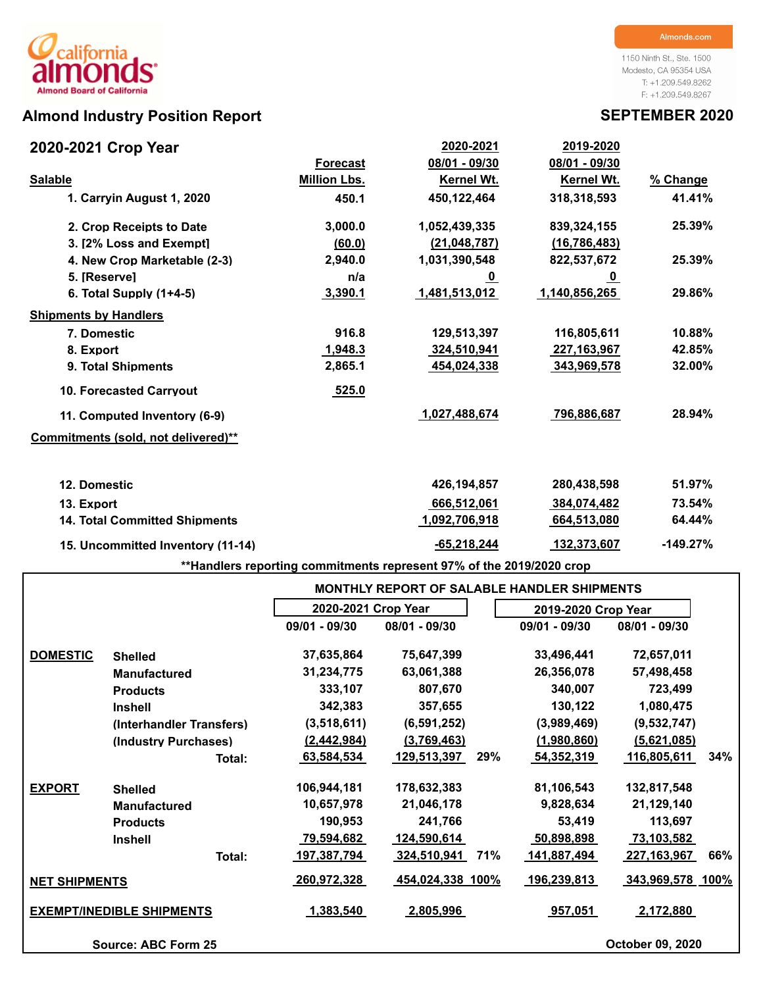# california lS **Almond Board of California**

## **Almond Industry Position Report SEPTEMBER 2020**

1150 Ninth St., Ste. 1500 Modesto, CA 95354 USA T: +1.209.549.8262 F: +1.209.549.8267

| 2020-2021 Crop Year                  |                     | 2020-2021         | <u>2019-2020</u>  |            |
|--------------------------------------|---------------------|-------------------|-------------------|------------|
|                                      | <b>Forecast</b>     | 08/01 - 09/30     | 08/01 - 09/30     |            |
| <b>Salable</b>                       | <b>Million Lbs.</b> | <b>Kernel Wt.</b> | <b>Kernel Wt.</b> | % Change   |
| 1. Carryin August 1, 2020            | 450.1               | 450,122,464       | 318,318,593       | 41.41%     |
| 2. Crop Receipts to Date             | 3,000.0             | 1,052,439,335     | 839,324,155       | 25.39%     |
| 3. [2% Loss and Exempt]              | (60.0)              | (21, 048, 787)    | (16, 786, 483)    |            |
| 4. New Crop Marketable (2-3)         | 2,940.0             | 1,031,390,548     | 822,537,672       | 25.39%     |
| 5. [Reserve]                         | n/a                 | <u>_0</u>         | <u>_0</u>         |            |
| 6. Total Supply $(1+4-5)$            | 3,390.1             | 1,481,513,012     | 1,140,856,265     | 29.86%     |
| <b>Shipments by Handlers</b>         |                     |                   |                   |            |
| 7. Domestic                          | 916.8               | 129,513,397       | 116,805,611       | 10.88%     |
| 8. Export                            | 1,948.3             | 324,510,941       | 227, 163, 967     | 42.85%     |
| 9. Total Shipments                   | 2,865.1             | 454,024,338       | 343,969,578       | 32.00%     |
| <b>10. Forecasted Carryout</b>       | 525.0               |                   |                   |            |
| 11. Computed Inventory (6-9)         |                     | 1,027,488,674     | 796,886,687       | 28.94%     |
| Commitments (sold, not delivered)**  |                     |                   |                   |            |
| 12. Domestic                         |                     | 426,194,857       | 280,438,598       | 51.97%     |
| 13. Export                           |                     | 666,512,061       | 384,074,482       | 73.54%     |
| <b>14. Total Committed Shipments</b> |                     | 1,092,706,918     | 664,513,080       | 64.44%     |
| 15. Uncommitted Inventory (11-14)    |                     | $-65,218,244$     | 132,373,607       | $-149.27%$ |

**\*\*Handlers reporting commitments represent 97% of the 2019/2020 crop**

|                                  |                            |                     | <b>MONTHLY REPORT OF SALABLE HANDLER SHIPMENTS</b> |                     |                    |
|----------------------------------|----------------------------|---------------------|----------------------------------------------------|---------------------|--------------------|
|                                  |                            | 2020-2021 Crop Year |                                                    | 2019-2020 Crop Year |                    |
|                                  |                            | 09/01 - 09/30       | 08/01 - 09/30                                      | 09/01 - 09/30       | 08/01 - 09/30      |
| <b>DOMESTIC</b>                  | <b>Shelled</b>             | 37,635,864          | 75,647,399                                         | 33,496,441          | 72,657,011         |
|                                  | <b>Manufactured</b>        | 31,234,775          | 63,061,388                                         | 26,356,078          | 57,498,458         |
|                                  | <b>Products</b>            | 333,107             | 807,670                                            | 340,007             | 723,499            |
|                                  | <b>Inshell</b>             | 342,383             | 357,655                                            | 130,122             | 1,080,475          |
|                                  | (Interhandler Transfers)   | (3,518,611)         | (6, 591, 252)                                      | (3,989,469)         | (9,532,747)        |
|                                  | (Industry Purchases)       | (2,442,984)         | (3,769,463)                                        | (1,980,860)         | (5,621,085)        |
|                                  | Total:                     | 63,584,534          | 29%<br>129,513,397                                 | 54,352,319          | 116,805,611<br>34% |
| <b>EXPORT</b>                    | <b>Shelled</b>             | 106,944,181         | 178,632,383                                        | 81,106,543          | 132,817,548        |
|                                  | <b>Manufactured</b>        | 10,657,978          | 21,046,178                                         | 9,828,634           | 21,129,140         |
|                                  | <b>Products</b>            | 190,953             | 241,766                                            | 53,419              | 113,697            |
|                                  | <b>Inshell</b>             | 79,594,682          | 124,590,614                                        | 50,898,898          | 73,103,582         |
|                                  | Total:                     | <u>197,387,794</u>  | 324,510,941<br>71%                                 | 141,887,494         | 66%<br>227,163,967 |
| <b>NET SHIPMENTS</b>             |                            | 260,972,328         | 454,024,338 100%                                   | 196,239,813         | 343,969,578 100%   |
| <b>EXEMPT/INEDIBLE SHIPMENTS</b> |                            | 1,383,540           | 2,805,996                                          | 957,051             | 2,172,880          |
|                                  | <b>Source: ABC Form 25</b> |                     |                                                    |                     | October 09, 2020   |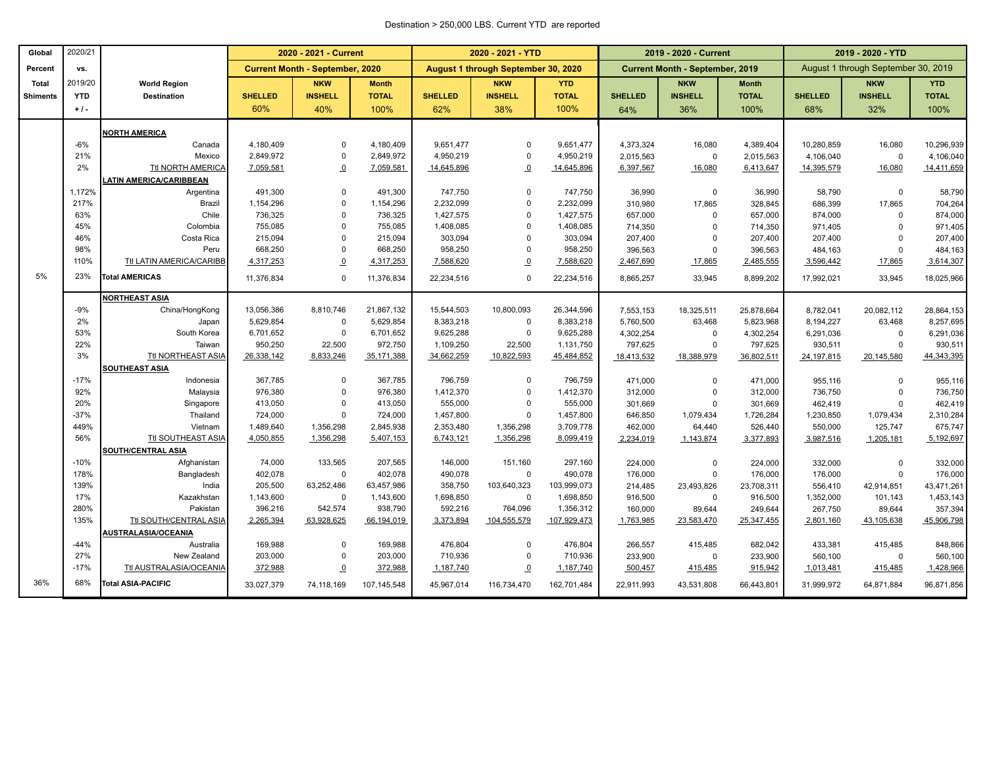### Destination > 250,000 LBS. Current YTD are reported

| Global          | 2020/21     |                                      |                        | 2020 - 2021 - Current                  |                        |                        | 2020 - 2021 - YTD                   |                        |                      | 2019 - 2020 - Current                  |              | 2019 - 2020 - YTD |                                     |                      |
|-----------------|-------------|--------------------------------------|------------------------|----------------------------------------|------------------------|------------------------|-------------------------------------|------------------------|----------------------|----------------------------------------|--------------|-------------------|-------------------------------------|----------------------|
| Percent         | VS.         |                                      |                        | <b>Current Month - September, 2020</b> |                        |                        | August 1 through September 30, 2020 |                        |                      | <b>Current Month - September, 2019</b> |              |                   | August 1 through September 30, 2019 |                      |
| <b>Total</b>    | 2019/20     | <b>World Region</b>                  |                        | <b>NKW</b>                             | <b>Month</b>           |                        | <b>NKW</b>                          | <b>YTD</b>             |                      | <b>NKW</b>                             | <b>Month</b> |                   | <b>NKW</b>                          | <b>YTD</b>           |
| <b>Shiments</b> | <b>YTD</b>  | <b>Destination</b>                   | <b>SHELLED</b>         | <b>INSHELL</b>                         | <b>TOTAL</b>           | <b>SHELLED</b>         | <b>INSHELL</b>                      | <b>TOTAL</b>           | <b>SHELLED</b>       | <b>INSHELL</b>                         | <b>TOTAL</b> | <b>SHELLED</b>    | <b>INSHELL</b>                      | <b>TOTAL</b>         |
|                 | $+1$ .      |                                      | 60%                    | 40%                                    | 100%                   | 62%                    | 38%                                 | 100%                   | 64%                  | 36%                                    | 100%         | 68%               | 32%                                 | 100%                 |
|                 |             | <b>NORTH AMERICA</b>                 |                        |                                        |                        |                        |                                     |                        |                      |                                        |              |                   |                                     |                      |
|                 | $-6%$       | Canada                               | 4,180,409              | $\mathbf 0$                            | 4,180,409              | 9,651,477              | $\mathbf 0$                         | 9,651,477              | 4,373,324            | 16,080                                 | 4,389,404    | 10,280,859        | 16,080                              | 10,296,939           |
|                 | 21%         | Mexico                               | 2,849,972              | $\mathbf 0$                            | 2,849,972              | 4,950,219              | $\mathbf 0$                         | 4,950,219              | 2,015,563            | $\mathbf 0$                            | 2,015,563    | 4,106,040         | $\Omega$                            | 4,106,040            |
|                 | 2%          | Ttl NORTH AMERICA                    | 7,059,581              | $\Omega$                               | 7,059,581              | 14,645,896             | $\overline{0}$                      | 14,645,896             | 6,397,567            | 16,080                                 | 6,413,647    | 14,395,579        | 16,080                              | 14,411,659           |
|                 |             | <b>LATIN AMERICA/CARIBBEAN</b>       |                        |                                        |                        |                        |                                     |                        |                      |                                        |              |                   |                                     |                      |
|                 | 1,172%      | Argentina                            | 491,300                | $\mathbf 0$                            | 491,300                | 747,750                | $\mathbf 0$                         | 747,750                | 36,990               | 0                                      | 36,990       | 58,790            | $\Omega$                            | 58,790               |
|                 | 217%        | Brazil                               | 1,154,296              | $\mathbf 0$                            | 1,154,296              | 2,232,099              | 0                                   | 2,232,099              | 310,980              | 17,865                                 | 328,845      | 686,399           | 17,865                              | 704,264              |
|                 | 63%         | Chile                                | 736,325                | $\mathbf 0$                            | 736,325                | 1,427,575              | $\mathbf 0$                         | 1,427,575              | 657,000              | $\Omega$                               | 657,000      | 874,000           | $\Omega$                            | 874,000              |
|                 | 45%         | Colombia                             | 755,085                | $\Omega$                               | 755,085                | 1,408,085              | $\Omega$                            | 1,408,085              | 714,350              | $\mathbf 0$                            | 714,350      | 971,405           | $\Omega$                            | 971,405              |
|                 | 46%         | Costa Rica                           | 215,094                | $\mathbf 0$                            | 215,094                | 303,094                | $\Omega$                            | 303,094                | 207,400              | $\mathbf 0$                            | 207,400      | 207,400           | $\Omega$                            | 207,400              |
|                 | 98%         | Peru                                 | 668,250                | $\mathbf 0$                            | 668,250                | 958,250                | $\Omega$                            | 958,250                | 396,563              | $\mathsf 0$                            | 396,563      | 484,163           | $\Omega$                            | 484,163              |
|                 | 110%        | Ttl LATIN AMERICA/CARIBB             | 4,317,253              | $\overline{0}$                         | 4,317,253              | 7,588,620              | $\overline{0}$                      | 7,588,620              | 2,467,690            | 17,865                                 | 2,485,555    | 3,596,442         | 17,865                              | 3,614,307            |
| 5%              | 23%         | <b>Total AMERICAS</b>                | 11,376,834             | $\Omega$                               | 11,376,834             | 22,234,516             | $\mathbf 0$                         | 22,234,516             | 8,865,257            | 33,945                                 | 8,899,202    | 17,992,021        | 33,945                              | 18,025,966           |
|                 |             | <b>NORTHEAST ASIA</b>                |                        |                                        |                        |                        |                                     |                        |                      |                                        |              |                   |                                     |                      |
|                 | $-9%$       | China/HongKong                       | 13,056,386             | 8,810,746                              | 21,867,132             | 15,544,503             | 10,800,093                          | 26,344,596             | 7,553,153            | 18,325,511                             | 25,878,664   | 8,782,041         | 20,082,112                          | 28,864,153           |
|                 | 2%          | Japan                                | 5,629,854              | $\mathbf 0$                            | 5,629,854              | 8,383,218              | $\mathbf 0$                         | 8,383,218              | 5,760,500            | 63,468                                 | 5,823,968    | 8,194,227         | 63,468                              | 8,257,695            |
|                 | 53%         | South Korea                          | 6,701,652              | $\mathbf 0$                            | 6,701,652              | 9,625,288              | $\mathbf 0$                         | 9,625,288              | 4,302,254            | $\mathbf 0$                            | 4,302,254    | 6,291,036         | $\Omega$                            | 6,291,036            |
|                 | 22%         | Taiwan                               | 950,250                | 22,500                                 | 972,750                | 1,109,250              | 22,500                              | 1,131,750              | 797,625              | $\mathbf 0$                            | 797,625      | 930,511           | $\Omega$                            | 930,511              |
|                 | 3%          | Ttl NORTHEAST ASIA                   | 26,338,142             | 8,833,246                              | 35,171,388             | 34,662,259             | 10,822,593                          | 45,484,852             | 18,413,532           | 18,388,979                             | 36,802,511   | 24, 197, 815      | 20,145,580                          | 44,343,395           |
|                 |             | <b>SOUTHEAST ASIA</b>                |                        |                                        |                        |                        |                                     |                        |                      |                                        |              |                   |                                     |                      |
|                 | $-17%$      | Indonesia                            | 367,785                | $\mathbf 0$                            | 367.785                | 796,759                | $\mathbf 0$                         | 796.759                | 471,000              | $\mathbf 0$                            | 471,000      | 955.116           | $\Omega$                            | 955,116              |
|                 | 92%         | Malaysia                             | 976,380                | $\mathbf 0$                            | 976,380                | 1,412,370              | $\mathbf 0$                         | 1,412,370              | 312,000              | $\mathbf 0$                            | 312,000      | 736,750           | $\Omega$                            | 736,750              |
|                 | 20%         | Singapore                            | 413,050                | $\mathbf 0$                            | 413,050                | 555,000                | $\Omega$                            | 555,000                | 301,669              | $\mathbf 0$                            | 301,669      | 462,419           | $\Omega$                            | 462,419              |
|                 | $-37%$      | Thailand                             | 724,000                | $\mathbf 0$                            | 724,000                | 1,457,800              | 0                                   | 1,457,800              | 646,850              | 1,079,434                              | 1,726,284    | 1,230,850         | 1,079,434                           | 2,310,284            |
|                 | 449%<br>56% | Vietnam<br><b>Ttl SOUTHEAST ASIA</b> | 1,489,640<br>4,050,855 | 1,356,298<br>1,356,298                 | 2,845,938<br>5,407,153 | 2,353,480<br>6,743,121 | 1,356,298<br>1,356,298              | 3,709,778<br>8,099,419 | 462,000<br>2,234,019 | 64,440                                 | 526,440      | 550,000           | 125,747                             | 675,747<br>5,192,697 |
|                 |             | <b>SOUTH/CENTRAL ASIA</b>            |                        |                                        |                        |                        |                                     |                        |                      | 1,143,874                              | 3,377,893    | 3,987,516         | 1,205,181                           |                      |
|                 | $-10%$      | Afghanistan                          | 74,000                 | 133,565                                | 207,565                | 146,000                | 151,160                             | 297,160                | 224,000              | $\mathbf 0$                            | 224,000      | 332,000           | $\Omega$                            | 332,000              |
|                 | 178%        | Bangladesh                           | 402,078                | $\mathbf 0$                            | 402,078                | 490,078                | 0                                   | 490,078                | 176,000              | $\mathbf 0$                            | 176,000      | 176,000           | $\Omega$                            | 176,000              |
|                 | 139%        | India                                | 205,500                | 63,252,486                             | 63,457,986             | 358,750                | 103,640,323                         | 103,999,073            | 214,485              | 23,493,826                             | 23,708,311   | 556,410           | 42,914,851                          | 43,471,261           |
|                 | 17%         | Kazakhstan                           | 1,143,600              | $\mathbf 0$                            | 1,143,600              | 1,698,850              | 0                                   | 1,698,850              | 916,500              | $\mathbf 0$                            | 916,500      | 1,352,000         | 101,143                             | 1,453,143            |
|                 | 280%        | Pakistan                             | 396,216                | 542,574                                | 938,790                | 592,216                | 764,096                             | 1,356,312              | 160,000              | 89,644                                 | 249,644      | 267,750           | 89,644                              | 357,394              |
|                 | 135%        | Ttl SOUTH/CENTRAL ASIA               | 2,265,394              | 63,928,625                             | 66,194,019             | 3,373,894              | 104,555,579                         | 107,929,473            | 1,763,985            | 23,583,470                             | 25,347,455   | 2,801,160         | 43,105,638                          | 45,906,798           |
|                 |             | AUSTRALASIA/OCEANIA                  |                        |                                        |                        |                        |                                     |                        |                      |                                        |              |                   |                                     |                      |
|                 | $-44%$      | Australia                            | 169,988                | $\mathbf 0$                            | 169,988                | 476,804                | $\Omega$                            | 476,804                | 266,557              | 415,485                                | 682,042      | 433,381           | 415,485                             | 848,866              |
|                 | 27%         | New Zealand                          | 203,000                | $\mathbf 0$                            | 203,000                | 710,936                | $\mathbf 0$                         | 710,936                | 233,900              | $\mathbf 0$                            | 233,900      | 560,100           | $\Omega$                            | 560,100              |
|                 | $-17%$      | Ttl AUSTRALASIA/OCEANIA              | 372,988                | $\overline{0}$                         | 372,988                | 1,187,740              | $\overline{0}$                      | 1,187,740              | 500,457              | 415,485                                | 915,942      | 1,013,481         | 415,485                             | 1,428,966            |
| 36%             | 68%         | <b>Total ASIA-PACIFIC</b>            | 33,027,379             | 74,118,169                             | 107,145,548            | 45,967,014             | 116,734,470                         | 162,701,484            | 22,911,993           | 43,531,808                             | 66,443,801   | 31,999,972        | 64,871,884                          | 96,871,856           |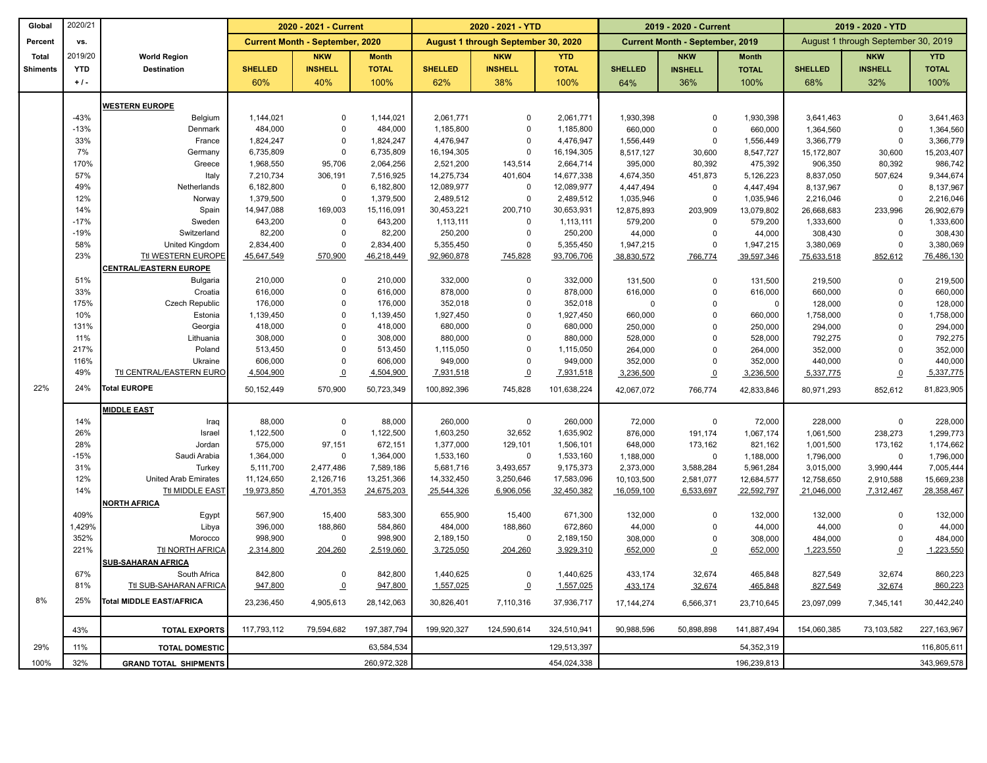| Global          | 2020/21    |                                 |                | 2020 - 2021 - Current                  |              |                | 2020 - 2021 - YTD                   |              |                | 2019 - 2020 - Current                  |                | 2019 - 2020 - YTD |                                     |               |
|-----------------|------------|---------------------------------|----------------|----------------------------------------|--------------|----------------|-------------------------------------|--------------|----------------|----------------------------------------|----------------|-------------------|-------------------------------------|---------------|
| Percent         | VS.        |                                 |                | <b>Current Month - September, 2020</b> |              |                | August 1 through September 30, 2020 |              |                | <b>Current Month - September, 2019</b> |                |                   | August 1 through September 30, 2019 |               |
| <b>Total</b>    | 2019/20    | <b>World Region</b>             |                | <b>NKW</b>                             | <b>Month</b> |                | <b>NKW</b>                          | <b>YTD</b>   |                | <b>NKW</b>                             | <b>Month</b>   |                   | <b>NKW</b>                          | <b>YTD</b>    |
| <b>Shiments</b> | <b>YTD</b> | <b>Destination</b>              | <b>SHELLED</b> | <b>INSHELL</b>                         | <b>TOTAL</b> | <b>SHELLED</b> | <b>INSHELL</b>                      | <b>TOTAL</b> | <b>SHELLED</b> | <b>INSHELL</b>                         | <b>TOTAL</b>   | <b>SHELLED</b>    | <b>INSHELL</b>                      | <b>TOTAL</b>  |
|                 | $+1$ .     |                                 | 60%            | 40%                                    | 100%         | 62%            | 38%                                 | 100%         | 64%            | 36%                                    | 100%           | 68%               | 32%                                 | 100%          |
|                 |            | <b>WESTERN EUROPE</b>           |                |                                        |              |                |                                     |              |                |                                        |                |                   |                                     |               |
|                 | $-43%$     | Belgium                         | 1,144,021      | 0                                      | 1,144,021    | 2,061,771      | $\mathbf 0$                         | 2,061,771    | 1,930,398      | $\mathbf 0$                            | 1,930,398      | 3,641,463         | 0                                   | 3,641,463     |
|                 | $-13%$     | Denmark                         | 484,000        | $\mathbf 0$                            | 484,000      | 1,185,800      | $\mathbf 0$                         | 1,185,800    | 660,000        | $\mathbf 0$                            | 660,000        | 1,364,560         | $\mathbf 0$                         | 1,364,560     |
|                 | 33%        | France                          | 1,824,247      | $\mathbf 0$                            | 1,824,247    | 4,476,947      | $\mathbf 0$                         | 4,476,947    | 1,556,449      | $\mathbf 0$                            | 1,556,449      | 3,366,779         | $\mathbf 0$                         | 3,366,779     |
|                 | 7%         | Germany                         | 6,735,809      | $\pmb{0}$                              | 6,735,809    | 16,194,305     | $\mathsf 0$                         | 16,194,305   | 8,517,127      | 30,600                                 | 8,547,727      | 15,172,807        | 30,600                              | 15,203,407    |
|                 | 170%       | Greece                          | 1,968,550      | 95,706                                 | 2,064,256    | 2,521,200      | 143,514                             | 2,664,714    | 395,000        | 80,392                                 | 475,392        | 906,350           | 80,392                              | 986,742       |
|                 | 57%        | Italy                           | 7,210,734      | 306,191                                | 7,516,925    | 14,275,734     | 401,604                             | 14,677,338   | 4,674,350      | 451,873                                | 5,126,223      | 8,837,050         | 507,624                             | 9,344,674     |
|                 | 49%        | Netherlands                     | 6,182,800      | 0                                      | 6,182,800    | 12,089,977     | $\mathbf 0$                         | 12,089,977   | 4,447,494      | $\mathbf 0$                            | 4,447,494      | 8,137,967         | $\mathbf 0$                         | 8,137,967     |
|                 | 12%        | Norway                          | 1,379,500      | $\pmb{0}$                              | 1,379,500    | 2,489,512      | $\mathsf 0$                         | 2,489,512    | 1,035,946      | $\mathbf 0$                            | 1,035,946      | 2,216,046         | $\mathbf 0$                         | 2,216,046     |
|                 | 14%        | Spain                           | 14,947,088     | 169,003                                | 15,116,091   | 30,453,221     | 200,710                             | 30,653,931   | 12,875,893     | 203,909                                | 13,079,802     | 26,668,683        | 233,996                             | 26,902,679    |
|                 | $-17%$     | Sweden                          | 643,200        | $\pmb{0}$                              | 643,200      | 1,113,111      | $\mathbf 0$                         | 1,113,111    | 579,200        | $\mathbf 0$                            | 579,200        | 1,333,600         | 0                                   | 1,333,600     |
|                 | $-19%$     | Switzerland                     | 82,200         | $\mathbf 0$                            | 82,200       | 250,200        | $\mathbf 0$                         | 250,200      | 44,000         | $\mathbf 0$                            | 44,000         | 308,430           | $\mathbf 0$                         | 308,430       |
|                 | 58%        | United Kingdom                  | 2,834,400      | $\pmb{0}$                              | 2,834,400    | 5,355,450      | $\mathbf 0$                         | 5,355,450    | 1,947,215      | $\mathbf 0$                            | 1,947,215      | 3,380,069         | $\mathbf 0$                         | 3,380,069     |
|                 | 23%        | Ttl WESTERN EUROPE              | 45,647,549     | 570,900                                | 46,218,449   | 92,960,878     | 745,828                             | 93,706,706   | 38,830,572     | 766,774                                | 39,597,346     | 75,633,518        | 852,612                             | 76,486,130    |
|                 |            | <b>CENTRAL/EASTERN EUROPE</b>   |                |                                        |              |                |                                     |              |                |                                        |                |                   |                                     |               |
|                 | 51%        | <b>Bulgaria</b>                 | 210,000        | 0                                      | 210,000      | 332,000        | $\mathbf 0$                         | 332,000      | 131,500        | $\mathbf 0$                            | 131,500        | 219,500           | 0                                   | 219,500       |
|                 | 33%        | Croatia                         | 616,000        | $\mathbf 0$                            | 616,000      | 878,000        | $\mathbf 0$                         | 878,000      | 616,000        | $\mathbf 0$                            | 616,000        | 660,000           | $\mathbf 0$                         | 660,000       |
|                 | 175%       | Czech Republic                  | 176,000        | $\pmb{0}$                              | 176,000      | 352,018        | $\mathbf 0$                         | 352,018      | 0              | $\mathbf 0$                            | $\overline{0}$ | 128,000           | $\mathbf 0$                         | 128,000       |
|                 | 10%        | Estonia                         | 1,139,450      | $\mathbf 0$                            | 1,139,450    | 1,927,450      | $\mathbf 0$                         | 1,927,450    | 660,000        | $\mathbf 0$                            | 660,000        | 1,758,000         | $\mathbf 0$                         | 1,758,000     |
|                 | 131%       | Georgia                         | 418,000        | $\pmb{0}$                              | 418,000      | 680,000        | $\mathbf 0$                         | 680,000      | 250,000        | $\mathbf 0$                            | 250,000        | 294,000           | $\mathbf 0$                         | 294,000       |
|                 | 11%        | Lithuania                       | 308,000        | $\mathbf 0$                            | 308,000      | 880,000        | $\mathbf 0$                         | 880,000      | 528,000        | $\mathbf 0$                            | 528,000        | 792,275           | $\Omega$                            | 792,275       |
|                 | 217%       | Poland                          | 513,450        | $\mathbf 0$                            | 513,450      | 1,115,050      | $\mathbf 0$                         | 1,115,050    | 264,000        | $\mathbf 0$                            | 264,000        | 352,000           | $\mathbf 0$                         | 352,000       |
|                 | 116%       | Ukraine                         | 606,000        | $\mathbf 0$                            | 606,000      | 949,000        | $\mathbf 0$                         | 949,000      | 352,000        | $\mathbf 0$                            | 352,000        | 440,000           | $\mathbf 0$                         | 440,000       |
|                 | 49%        | <b>Ttl CENTRAL/EASTERN EURC</b> | 4,504,900      | $\underline{0}$                        | 4,504,900    | 7,931,518      | $\underline{\mathbf{0}}$            | 7,931,518    | 3,236,500      | $\Omega$                               | 3,236,500      | 5,337,775         | $\pmb{0}$                           | 5,337,775     |
| 22%             | 24%        | Total EUROPE                    | 50,152,449     | 570,900                                | 50,723,349   | 100,892,396    | 745,828                             | 101,638,224  | 42,067,072     | 766,774                                | 42,833,846     | 80,971,293        | 852,612                             | 81,823,905    |
|                 |            | <b>MIDDLE EAST</b>              |                |                                        |              |                |                                     |              |                |                                        |                |                   |                                     |               |
|                 | 14%        | Iraq                            | 88,000         | $\mathbf 0$                            | 88,000       | 260,000        | $\mathbf 0$                         | 260,000      | 72,000         | 0                                      | 72,000         | 228,000           | $\mathbf 0$                         | 228,000       |
|                 | 26%        | Israel                          | 1,122,500      | $\pmb{0}$                              | 1,122,500    | 1,603,250      | 32,652                              | 1,635,902    | 876,000        | 191,174                                | 1,067,174      | 1,061,500         | 238,273                             | 1,299,773     |
|                 | 28%        | Jordan                          | 575,000        | 97,151                                 | 672,151      | 1,377,000      | 129,101                             | 1,506,101    | 648,000        | 173,162                                | 821,162        | 1,001,500         | 173,162                             | 1,174,662     |
|                 | $-15%$     | Saudi Arabia                    | 1,364,000      | $\mathbf 0$                            | 1,364,000    | 1,533,160      | $\mathbf 0$                         | 1,533,160    | 1,188,000      | $\mathbf 0$                            | 1,188,000      | 1,796,000         | 0                                   | 1,796,000     |
|                 | 31%        | Turkey                          | 5,111,700      | 2,477,486                              | 7,589,186    | 5,681,716      | 3,493,657                           | 9,175,373    | 2,373,000      | 3,588,284                              | 5,961,284      | 3,015,000         | 3,990,444                           | 7,005,444     |
|                 | 12%        | <b>United Arab Emirates</b>     | 11,124,650     | 2,126,716                              | 13,251,366   | 14,332,450     | 3,250,646                           | 17,583,096   | 10,103,500     | 2,581,077                              | 12,684,577     | 12,758,650        | 2,910,588                           | 15,669,238    |
|                 | 14%        | <b>Ttl MIDDLE EAST</b>          | 19,973,850     | 4,701,353                              | 24,675,203   | 25,544,326     | 6,906,056                           | 32,450,382   | 16,059,100     | 6,533,697                              | 22,592,797     | 21,046,000        | 7,312,467                           | 28,358,467    |
|                 |            | NORTH AFRICA                    |                |                                        |              |                |                                     |              |                |                                        |                |                   |                                     |               |
|                 | 409%       | Egypt                           | 567,900        | 15,400                                 | 583,300      | 655,900        | 15,400                              | 671,300      | 132,000        | $\mathbf 0$                            | 132,000        | 132,000           | $\mathbf 0$                         | 132,000       |
|                 | 1,429%     | Libya                           | 396,000        | 188,860                                | 584,860      | 484,000        | 188,860                             | 672,860      | 44,000         | $\mathbf 0$                            | 44,000         | 44,000            | 0                                   | 44,000        |
|                 | 352%       | Morocco                         | 998,900        | 0                                      | 998,900      | 2,189,150      | $\mathbf 0$                         | 2,189,150    | 308,000        | $\mathbf 0$                            | 308,000        | 484,000           | $\mathbf 0$                         | 484,000       |
|                 | 221%       | Ttl NORTH AFRICA                | 2,314,800      | 204,260                                | 2,519,060    | 3,725,050      | 204,260                             | 3,929,310    | 652,000        | $\overline{0}$                         | 652,000        | 1,223,550         | $\overline{0}$                      | 1,223,550     |
|                 |            | <b>SUB-SAHARAN AFRICA</b>       |                |                                        |              |                |                                     |              |                |                                        |                |                   |                                     |               |
|                 | 67%        | South Africa                    | 842,800        | $\Omega$                               | 842,800      | 1,440,625      | $\mathbf 0$                         | 1,440,625    | 433,174        | 32,674                                 | 465,848        | 827,549           | 32,674                              | 860,223       |
|                 | 81%        | Ttl SUB-SAHARAN AFRICA          | 947,800        | $\overline{0}$                         | 947,800      | 1,557,025      | $\overline{o}$                      | 1,557,025    | 433,174        | 32,674                                 | 465,848        | 827,549           | 32,674                              | 860,223       |
| 8%              | 25%        | Total MIDDLE EAST/AFRICA        | 23,236,450     | 4,905,613                              | 28,142,063   | 30,826,401     | 7,110,316                           | 37,936,717   | 17, 144, 274   | 6,566,371                              | 23,710,645     | 23,097,099        | 7,345,141                           | 30,442,240    |
|                 | 43%        | <b>TOTAL EXPORTS</b>            | 117,793,112    | 79,594,682                             | 197,387,794  | 199.920.327    | 124,590,614                         | 324,510,941  | 90,988,596     | 50,898,898                             | 141,887,494    | 154,060,385       | 73,103,582                          | 227, 163, 967 |
| 29%             | 11%        | <b>TOTAL DOMESTIC</b>           |                |                                        | 63,584,534   |                |                                     | 129,513,397  |                |                                        | 54,352,319     |                   |                                     | 116,805,611   |
| 100%            | 32%        | <b>GRAND TOTAL SHIPMENTS</b>    |                |                                        | 260,972,328  |                |                                     | 454,024,338  |                |                                        | 196,239,813    |                   |                                     | 343,969,578   |
|                 |            |                                 |                |                                        |              |                |                                     |              |                |                                        |                |                   |                                     |               |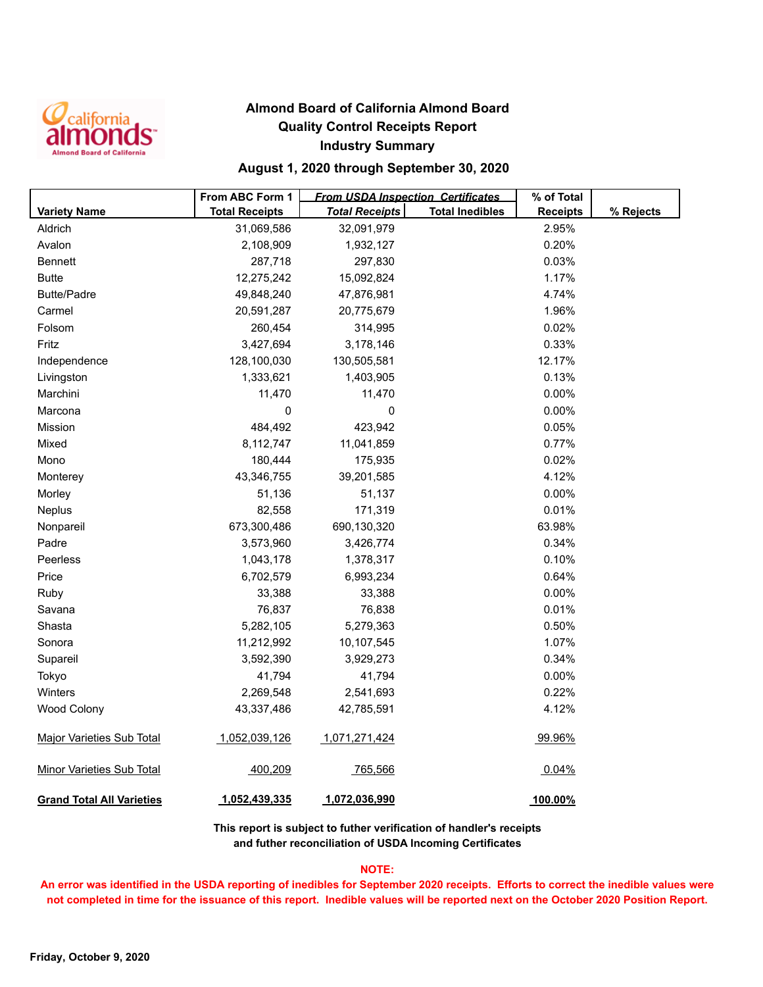

## **Almond Board of California Almond Board Quality Control Receipts Report Industry Summary**

## **August 1, 2020 through September 30, 2020**

|                                  | From ABC Form 1       | <b>From USDA Inspection Certificates</b> | % of Total             |                 |           |
|----------------------------------|-----------------------|------------------------------------------|------------------------|-----------------|-----------|
| <b>Variety Name</b>              | <b>Total Receipts</b> | <b>Total Receipts</b>                    | <b>Total Inedibles</b> | <b>Receipts</b> | % Rejects |
| Aldrich                          | 31,069,586            | 32,091,979                               |                        | 2.95%           |           |
| Avalon                           | 2,108,909             | 1,932,127                                |                        | 0.20%           |           |
| <b>Bennett</b>                   | 287,718               | 297,830                                  |                        | 0.03%           |           |
| <b>Butte</b>                     | 12,275,242            | 15,092,824                               |                        | 1.17%           |           |
| <b>Butte/Padre</b>               | 49,848,240            | 47,876,981                               |                        | 4.74%           |           |
| Carmel                           | 20,591,287            | 20,775,679                               |                        | 1.96%           |           |
| Folsom                           | 260,454               | 314,995                                  |                        | 0.02%           |           |
| Fritz                            | 3,427,694             | 3,178,146                                |                        | 0.33%           |           |
| Independence                     | 128,100,030           | 130,505,581                              |                        | 12.17%          |           |
| Livingston                       | 1,333,621             | 1,403,905                                |                        | 0.13%           |           |
| Marchini                         | 11,470                | 11,470                                   |                        | 0.00%           |           |
| Marcona                          | 0                     | 0                                        |                        | 0.00%           |           |
| Mission                          | 484,492               | 423,942                                  |                        | 0.05%           |           |
| Mixed                            | 8,112,747             | 11,041,859                               |                        | 0.77%           |           |
| Mono                             | 180,444               | 175,935                                  |                        | 0.02%           |           |
| Monterey                         | 43,346,755            | 39,201,585                               |                        | 4.12%           |           |
| Morley                           | 51,136                | 51,137                                   |                        | 0.00%           |           |
| Neplus                           | 82,558                | 171,319                                  |                        | 0.01%           |           |
| Nonpareil                        | 673,300,486           | 690,130,320                              |                        | 63.98%          |           |
| Padre                            | 3,573,960             | 3,426,774                                |                        | 0.34%           |           |
| Peerless                         | 1,043,178             | 1,378,317                                |                        | 0.10%           |           |
| Price                            | 6,702,579             | 6,993,234                                |                        | 0.64%           |           |
| Ruby                             | 33,388                | 33,388                                   |                        | 0.00%           |           |
| Savana                           | 76,837                | 76,838                                   |                        | 0.01%           |           |
| Shasta                           | 5,282,105             | 5,279,363                                |                        | 0.50%           |           |
| Sonora                           | 11,212,992            | 10,107,545                               |                        | 1.07%           |           |
| Supareil                         | 3,592,390             | 3,929,273                                |                        | 0.34%           |           |
| Tokyo                            | 41,794                | 41,794                                   |                        | 0.00%           |           |
| Winters                          | 2,269,548             | 2,541,693                                |                        | 0.22%           |           |
| <b>Wood Colony</b>               | 43,337,486            | 42,785,591                               |                        | 4.12%           |           |
| <b>Major Varieties Sub Total</b> | 1,052,039,126         | 1,071,271,424                            |                        | 99.96%          |           |
| <b>Minor Varieties Sub Total</b> | 400,209               | 765,566                                  |                        | 0.04%           |           |
| <b>Grand Total All Varieties</b> | 1,052,439,335         | 1,072,036,990                            |                        | 100.00%         |           |

**This report is subject to futher verification of handler's receipts and futher reconciliation of USDA Incoming Certificates**

### **NOTE:**

**An error was identified in the USDA reporting of inedibles for September 2020 receipts. Efforts to correct the inedible values were not completed in time for the issuance of this report. Inedible values will be reported next on the October 2020 Position Report.**